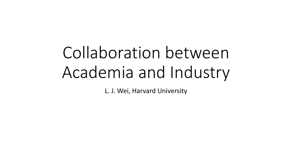# Collaboration between Academia and Industry

L. J. Wei, Harvard University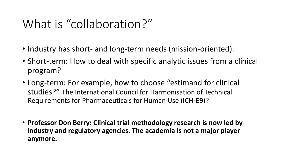# What is "collaboration?"

- Industry has short- and long-term needs (mission-oriented).
- Short-term: How to deal with specific analytic issues from a clinical program?
- Long-term: For example, how to choose "estimand for clinical studies?" The International Council for Harmonisation of Technical Requirements for Pharmaceuticals for Human Use (**ICH-E9**)?
- **Professor Don Berry: Clinical trial methodology research is now led by industry and regulatory agencies. The academia is not a major player anymore.**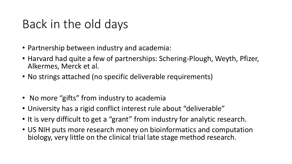# Back in the old days

- Partnership between industry and academia:
- Harvard had quite a few of partnerships: Schering-Plough, Weyth, Pfizer, Alkermes, Merck et al.
- No strings attached (no specific deliverable requirements)
- No more "gifts" from industry to academia
- University has a rigid conflict interest rule about "deliverable"
- It is very difficult to get a "grant" from industry for analytic research.
- US NIH puts more research money on bioinformatics and computation biology, very little on the clinical trial late stage method research.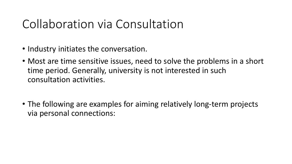# Collaboration via Consultation

- Industry initiates the conversation.
- Most are time sensitive issues, need to solve the problems in a short time period. Generally, university is not interested in such consultation activities.
- The following are examples for aiming relatively long-term projects via personal connections: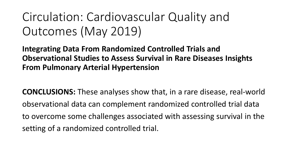# Circulation: Cardiovascular Quality and Outcomes (May 2019)

**Integrating Data From Randomized Controlled Trials and Observational Studies to Assess Survival in Rare Diseases Insights From Pulmonary Arterial Hypertension**

**CONCLUSIONS:** These analyses show that, in a rare disease, real-world observational data can complement randomized controlled trial data to overcome some challenges associated with assessing survival in the setting of a randomized controlled trial.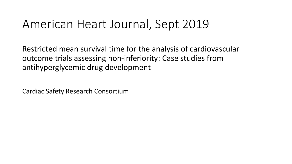### American Heart Journal, Sept 2019

Restricted mean survival time for the analysis of cardiovascular outcome trials assessing non-inferiority: Case studies from antihyperglycemic drug development

Cardiac Safety Research Consortium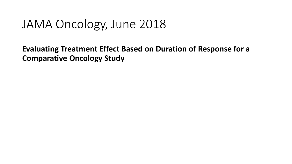## JAMA Oncology, June 2018

**Evaluating Treatment Effect Based on Duration of Response for a Comparative Oncology Study**